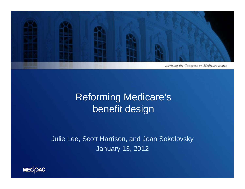

## Reforming Medicare's benefit design

Julie Lee, Scott Harrison, and Joan Sokolovsky January 13, 2012

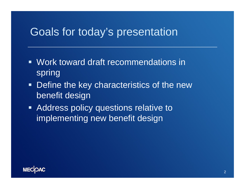### Goals for today's presentation

- Work toward draft recommendations in spring
- **Define the key characteristics of the new** benefit design
- **Address policy questions relative to** implementing new benefit design

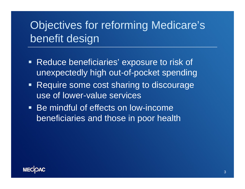# Objectives for reforming Medicare's benefit design

- Reduce beneficiaries' exposure to risk of unexpectedly high out-of-pocket spending
- Require some cost sharing to discourage use of lower-value services
- **Be mindful of effects on low-income** beneficiaries and those in poor health

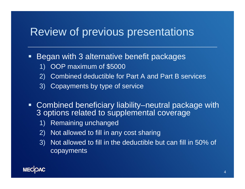### Review of previous presentations

- $\blacksquare$  Began with 3 alternative benefit packages
	- 1) OOP maximum of \$5000
	- 2) Combined deductible for Part A and Part B services
	- 3) Copayments by type of service
- Combined beneficiary liability–neutral package with 3 options related to supplemental coverage
	- 1) Remaining unchanged
	- 2) Not allowed to fill in any cost sharing
	- 3) Not allowed to fill in the deductible but can fill in 50% of copayments

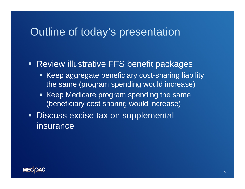### Outline of today's presentation

#### **Review illustrative FFS benefit packages**

- **Keep aggregate beneficiary cost-sharing liability** the same (program spending would increase)
- Keep Medicare program spending the same (beneficiary cost sharing would increase)
- **Discuss excise tax on supplemental** insurance

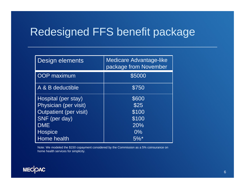## Redesigned FFS benefit package

| Design elements               | <b>Medicare Advantage-like</b><br>package from November |
|-------------------------------|---------------------------------------------------------|
| OOP maximum                   | \$5000                                                  |
| A & B deductible              | \$750                                                   |
| Hospital (per stay)           | \$600                                                   |
| Physician (per visit)         | \$25                                                    |
| <b>Outpatient (per visit)</b> | \$100                                                   |
| SNF (per day)                 | \$100                                                   |
| <b>DME</b>                    | 20%                                                     |
| Hospice                       | $0\%$                                                   |
| Home health                   | $5\%$ <sup>*</sup>                                      |

Note: We modeled the \$150 copayment considered by the Commission as a 5% coinsurance on home health services for simplicity.

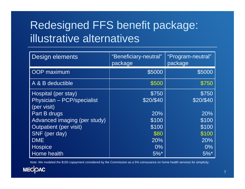# Redesigned FFS benefit package: illustrative alternatives

| Design elements              | "Beneficiary-neutral"<br>package | "Program-neutral"<br>package |
|------------------------------|----------------------------------|------------------------------|
| <b>OOP</b> maximum           | \$5000                           | \$5000                       |
| A & B deductible             | \$500                            | \$750                        |
| Hospital (per stay)          | \$750                            | \$750                        |
| Physician - PCP/specialist   | \$20/\$40                        | \$20/\$40                    |
| (per visit)                  |                                  |                              |
| Part B drugs                 | 20%                              | 20%                          |
| Advanced imaging (per study) | \$100                            | \$100                        |
| Outpatient (per visit)       | \$100                            | \$100                        |
| SNF (per day)                | \$80                             | \$100                        |
| <b>DME</b>                   | 20%                              | 20%                          |
| <b>Hospice</b>               | $0\%$                            | $0\%$                        |
| Home health                  | $5\%$ <sup>*</sup>               | $5\%$ <sup>*</sup>           |

Note: We modeled the \$150 copayment considered by the Commission as a 5% coinsurance on home health services for simplicity.

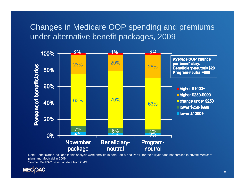#### Changes in Medicare OOP spending and premiums under alternative benefit packages, 2009



Note: Beneficiaries included in this analysis were enrolled in both Part A and Part B for the full year and not enrolled in private Medicare plans and Medicaid in 2009.

Source: MedPAC based on data from CMS.

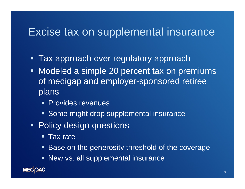### Excise tax on supplemental insurance

- $\blacksquare$ Tax approach over regulatory approach
- $\blacksquare$  Modeled a simple 20 percent tax on premiums of medigap and employer-sponsored retiree plans
	- **Provides revenues**
	- **Some might drop supplemental insurance**
- **Policy design questions** 
	- Tax rate
	- **Base on the generosity threshold of the coverage**
	- New vs. all supplemental insurance

**MECOAC**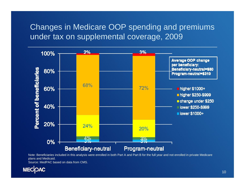#### Changes in Medicare OOP spending and premiums under tax on supplemental coverage, 2009



Note: Beneficiaries included in this analysis were enrolled in both Part A and Part B for the full year and not enrolled in private Medicare plans and Medicaid.

Source: MedPAC based on data from CMS.

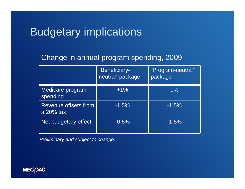## Budgetary implications

#### Change in annual program spending, 2009

|                                      | "Beneficiary-<br>neutral" package | "Program-neutral"<br>package |
|--------------------------------------|-----------------------------------|------------------------------|
| Medicare program<br>spending         | $+1\%$                            | $0\%$                        |
| Revenue offsets from<br>a $20\%$ tax | $-1.5%$                           | $-1.5%$                      |
| Net budgetary effect                 | $-0.5%$                           | $-1.5%$                      |

*Preliminary and subject to change.*

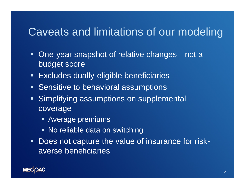## Caveats and limitations of our modeling

- One-year snapshot of relative changes—not a budget score
- $\blacksquare$ Excludes dually-eligible beneficiaries
- **Sensitive to behavioral assumptions**
- **Simplifying assumptions on supplemental** coverage
	- Average premiums
	- No reliable data on switching
- Does not capture the value of insurance for riskaverse beneficiaries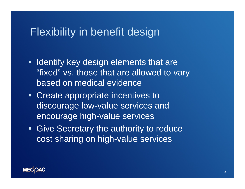## Flexibility in benefit design

- **Indentify key design elements that are** "fixed" vs. those that are allowed to vary based on medical evidence
- **Create appropriate incentives to** discourage low-value services and encourage high-value services
- **Give Secretary the authority to reduce** cost sharing on high-value services